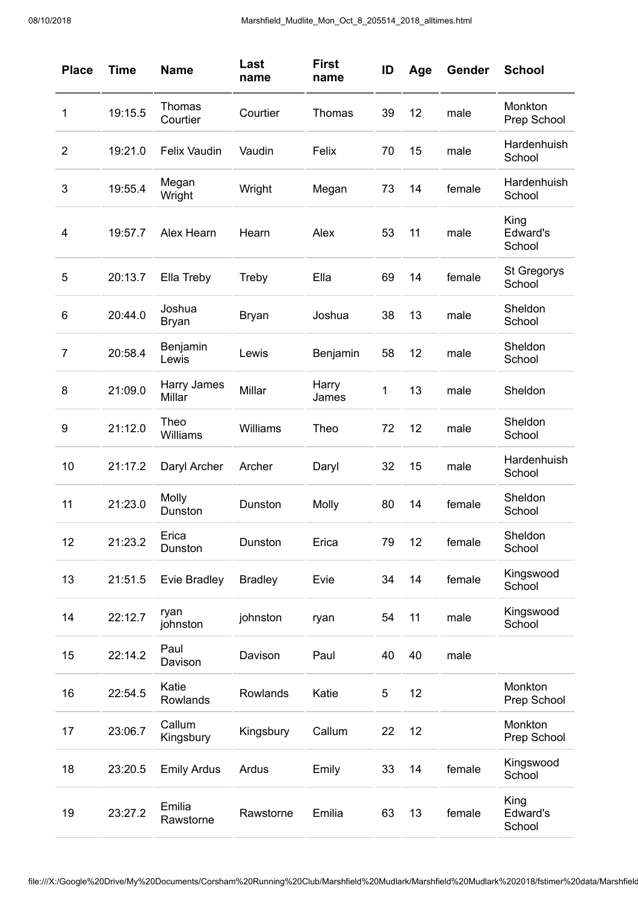| <b>Place</b>   | <b>Time</b> | <b>Name</b>           | Last<br>name   | <b>First</b><br>name | ID | Age | Gender | <b>School</b>                |
|----------------|-------------|-----------------------|----------------|----------------------|----|-----|--------|------------------------------|
| 1              | 19:15.5     | Thomas<br>Courtier    | Courtier       | <b>Thomas</b>        | 39 | 12  | male   | Monkton<br>Prep School       |
| $\overline{2}$ | 19:21.0     | <b>Felix Vaudin</b>   | Vaudin         | Felix                | 70 | 15  | male   | Hardenhuish<br>School        |
| 3              | 19:55.4     | Megan<br>Wright       | Wright         | Megan                | 73 | 14  | female | Hardenhuish<br>School        |
| 4              | 19:57.7     | Alex Hearn            | Hearn          | Alex                 | 53 | 11  | male   | King<br>Edward's<br>School   |
| 5              | 20:13.7     | Ella Treby            | Treby          | Ella                 | 69 | 14  | female | <b>St Gregorys</b><br>School |
| 6              | 20:44.0     | Joshua<br>Bryan       | <b>Bryan</b>   | Joshua               | 38 | 13  | male   | Sheldon<br>School            |
| $\overline{7}$ | 20:58.4     | Benjamin<br>Lewis     | Lewis          | Benjamin             | 58 | 12  | male   | Sheldon<br>School            |
| 8              | 21:09.0     | Harry James<br>Millar | Millar         | Harry<br>James       | 1  | 13  | male   | Sheldon                      |
| 9              | 21:12.0     | Theo<br>Williams      | Williams       | Theo                 | 72 | 12  | male   | Sheldon<br>School            |
| 10             | 21:17.2     | Daryl Archer          | Archer         | Daryl                | 32 | 15  | male   | Hardenhuish<br>School        |
| 11             | 21:23.0     | Molly<br>Dunston      | Dunston        | Molly                | 80 | 14  | female | Sheldon<br>School            |
| 12             | 21:23.2     | Erica<br>Dunston      | Dunston        | Erica                | 79 | 12  | female | Sheldon<br>School            |
| 13             | 21:51.5     | Evie Bradley          | <b>Bradley</b> | Evie                 | 34 | 14  | female | Kingswood<br>School          |
| 14             | 22:12.7     | ryan<br>johnston      | johnston       | ryan                 | 54 | 11  | male   | Kingswood<br>School          |
| 15             | 22:14.2     | Paul<br>Davison       | Davison        | Paul                 | 40 | 40  | male   |                              |
| 16             | 22:54.5     | Katie<br>Rowlands     | Rowlands       | Katie                | 5  | 12  |        | Monkton<br>Prep School       |
| 17             | 23:06.7     | Callum<br>Kingsbury   | Kingsbury      | Callum               | 22 | 12  |        | Monkton<br>Prep School       |
| 18             | 23:20.5     | <b>Emily Ardus</b>    | Ardus          | Emily                | 33 | 14  | female | Kingswood<br>School          |
| 19             | 23:27.2     | Emilia<br>Rawstorne   | Rawstorne      | Emilia               | 63 | 13  | female | King<br>Edward's<br>School   |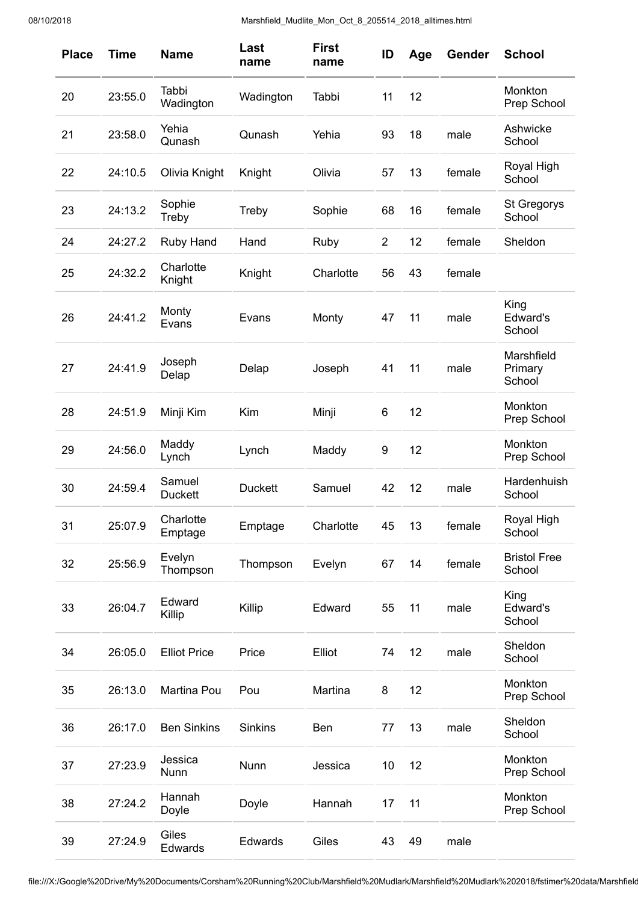| <b>Place</b> | <b>Time</b> | <b>Name</b>              | Last<br>name   | <b>First</b><br>name | ID             | Age | Gender | <b>School</b>                   |
|--------------|-------------|--------------------------|----------------|----------------------|----------------|-----|--------|---------------------------------|
| 20           | 23:55.0     | Tabbi<br>Wadington       | Wadington      | Tabbi                | 11             | 12  |        | Monkton<br>Prep School          |
| 21           | 23:58.0     | Yehia<br>Qunash          | Qunash         | Yehia                | 93             | 18  | male   | Ashwicke<br>School              |
| 22           | 24:10.5     | Olivia Knight            | Knight         | Olivia               | 57             | 13  | female | Royal High<br>School            |
| 23           | 24:13.2     | Sophie<br>Treby          | Treby          | Sophie               | 68             | 16  | female | <b>St Gregorys</b><br>School    |
| 24           | 24:27.2     | <b>Ruby Hand</b>         | Hand           | Ruby                 | $\overline{c}$ | 12  | female | Sheldon                         |
| 25           | 24:32.2     | Charlotte<br>Knight      | Knight         | Charlotte            | 56             | 43  | female |                                 |
| 26           | 24:41.2     | Monty<br>Evans           | Evans          | Monty                | 47             | 11  | male   | King<br>Edward's<br>School      |
| 27           | 24:41.9     | Joseph<br>Delap          | Delap          | Joseph               | 41             | 11  | male   | Marshfield<br>Primary<br>School |
| 28           | 24:51.9     | Minji Kim                | Kim            | Minji                | 6              | 12  |        | Monkton<br>Prep School          |
| 29           | 24:56.0     | Maddy<br>Lynch           | Lynch          | Maddy                | 9              | 12  |        | Monkton<br>Prep School          |
| 30           | 24:59.4     | Samuel<br><b>Duckett</b> | <b>Duckett</b> | Samuel               | 42             | 12  | male   | Hardenhuish<br>School           |
| 31           | 25:07.9     | Charlotte<br>Emptage     | Emptage        | Charlotte            | 45             | 13  | female | Royal High<br>School            |
| 32           | 25:56.9     | Evelyn<br>Thompson       | Thompson       | Evelyn               | 67             | 14  | female | <b>Bristol Free</b><br>School   |
| 33           | 26:04.7     | Edward<br>Killip         | Killip         | Edward               | 55             | 11  | male   | King<br>Edward's<br>School      |
| 34           | 26:05.0     | <b>Elliot Price</b>      | Price          | Elliot               | 74             | 12  | male   | Sheldon<br>School               |
| 35           | 26:13.0     | Martina Pou              | Pou            | Martina              | 8              | 12  |        | Monkton<br>Prep School          |
| 36           | 26:17.0     | <b>Ben Sinkins</b>       | <b>Sinkins</b> | Ben                  | 77             | 13  | male   | Sheldon<br>School               |
| 37           | 27:23.9     | Jessica<br>Nunn          | Nunn           | Jessica              | 10             | 12  |        | Monkton<br>Prep School          |
| 38           | 27:24.2     | Hannah<br>Doyle          | Doyle          | Hannah               | 17             | 11  |        | Monkton<br>Prep School          |
| 39           | 27:24.9     | Giles<br>Edwards         | Edwards        | Giles                | 43             | 49  | male   |                                 |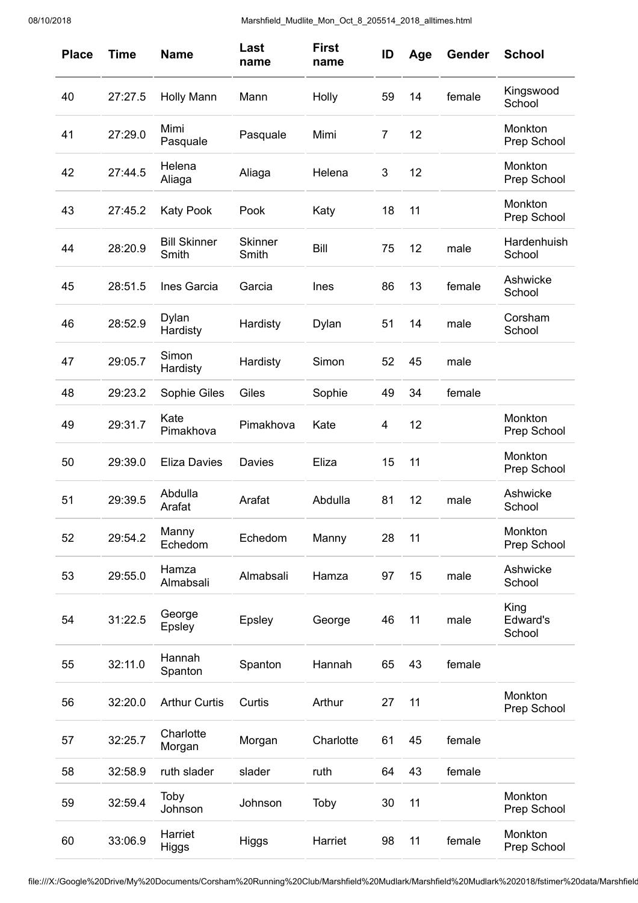| <b>Place</b> | <b>Time</b> | <b>Name</b>                  | Last<br>name            | <b>First</b><br>name | ID             | Age | Gender | <b>School</b>              |
|--------------|-------------|------------------------------|-------------------------|----------------------|----------------|-----|--------|----------------------------|
| 40           | 27:27.5     | <b>Holly Mann</b>            | Mann                    | Holly                | 59             | 14  | female | Kingswood<br>School        |
| 41           | 27:29.0     | Mimi<br>Pasquale             | Pasquale                | Mimi                 | $\overline{7}$ | 12  |        | Monkton<br>Prep School     |
| 42           | 27:44.5     | Helena<br>Aliaga             | Aliaga                  | Helena               | 3              | 12  |        | Monkton<br>Prep School     |
| 43           | 27:45.2     | <b>Katy Pook</b>             | Pook                    | Katy                 | 18             | 11  |        | Monkton<br>Prep School     |
| 44           | 28:20.9     | <b>Bill Skinner</b><br>Smith | <b>Skinner</b><br>Smith | Bill                 | 75             | 12  | male   | Hardenhuish<br>School      |
| 45           | 28:51.5     | Ines Garcia                  | Garcia                  | Ines                 | 86             | 13  | female | Ashwicke<br>School         |
| 46           | 28:52.9     | Dylan<br>Hardisty            | Hardisty                | Dylan                | 51             | 14  | male   | Corsham<br>School          |
| 47           | 29:05.7     | Simon<br>Hardisty            | Hardisty                | Simon                | 52             | 45  | male   |                            |
| 48           | 29:23.2     | Sophie Giles                 | Giles                   | Sophie               | 49             | 34  | female |                            |
| 49           | 29:31.7     | Kate<br>Pimakhova            | Pimakhova               | Kate                 | 4              | 12  |        | Monkton<br>Prep School     |
| 50           | 29:39.0     | <b>Eliza Davies</b>          | Davies                  | Eliza                | 15             | 11  |        | Monkton<br>Prep School     |
| 51           | 29:39.5     | Abdulla<br>Arafat            | Arafat                  | Abdulla              | 81             | 12  | male   | Ashwicke<br>School         |
| 52           | 29:54.2     | Manny<br>Echedom             | Echedom                 | Manny                | 28             | 11  |        | Monkton<br>Prep School     |
| 53           | 29:55.0     | Hamza<br>Almabsali           | Almabsali               | Hamza                | 97             | 15  | male   | Ashwicke<br>School         |
| 54           | 31:22.5     | George<br>Epsley             | Epsley                  | George               | 46             | 11  | male   | King<br>Edward's<br>School |
| 55           | 32:11.0     | Hannah<br>Spanton            | Spanton                 | Hannah               | 65             | 43  | female |                            |
| 56           | 32:20.0     | <b>Arthur Curtis</b>         | Curtis                  | Arthur               | 27             | 11  |        | Monkton<br>Prep School     |
| 57           | 32:25.7     | Charlotte<br>Morgan          | Morgan                  | Charlotte            | 61             | 45  | female |                            |
| 58           | 32:58.9     | ruth slader                  | slader                  | ruth                 | 64             | 43  | female |                            |
| 59           | 32:59.4     | Toby<br>Johnson              | Johnson                 | Toby                 | 30             | 11  |        | Monkton<br>Prep School     |
| 60           | 33:06.9     | Harriet<br>Higgs             | Higgs                   | Harriet              | 98             | 11  | female | Monkton<br>Prep School     |

file:///X:/Google%20Drive/My%20Documents/Corsham%20Running%20Club/Marshfield%20Mudlark/Marshfield%20Mudlark%202018/fstimer%20data/Marshfield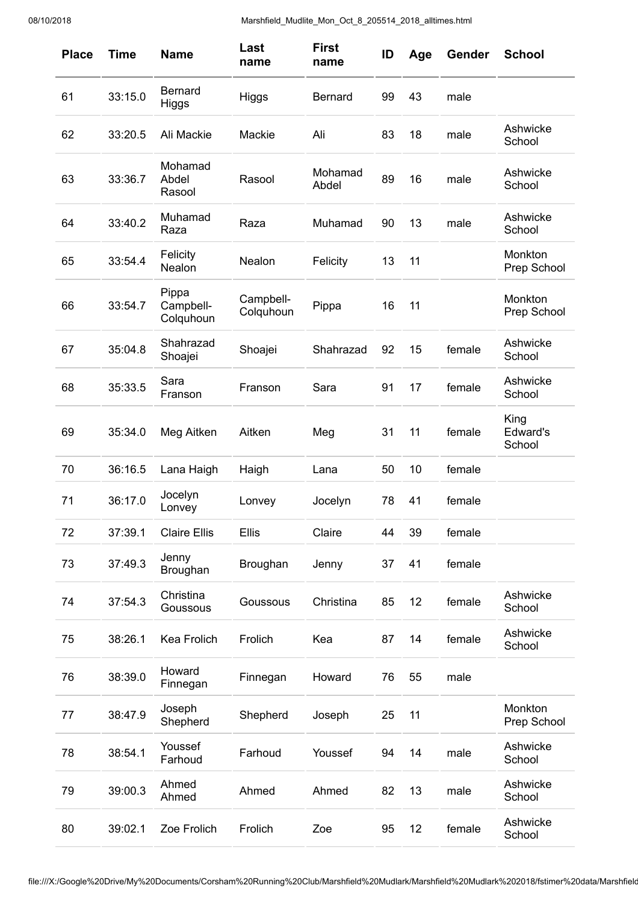| <b>Place</b> | <b>Time</b> | <b>Name</b>                     | Last<br>name           | <b>First</b><br>name | ID | Age | Gender | <b>School</b>              |
|--------------|-------------|---------------------------------|------------------------|----------------------|----|-----|--------|----------------------------|
| 61           | 33:15.0     | <b>Bernard</b><br>Higgs         | Higgs                  | <b>Bernard</b>       | 99 | 43  | male   |                            |
| 62           | 33:20.5     | Ali Mackie                      | Mackie                 | Ali                  | 83 | 18  | male   | Ashwicke<br>School         |
| 63           | 33:36.7     | Mohamad<br>Abdel<br>Rasool      | Rasool                 | Mohamad<br>Abdel     | 89 | 16  | male   | Ashwicke<br>School         |
| 64           | 33:40.2     | Muhamad<br>Raza                 | Raza                   | Muhamad              | 90 | 13  | male   | Ashwicke<br>School         |
| 65           | 33:54.4     | Felicity<br>Nealon              | Nealon                 | Felicity             | 13 | 11  |        | Monkton<br>Prep School     |
| 66           | 33:54.7     | Pippa<br>Campbell-<br>Colquhoun | Campbell-<br>Colquhoun | Pippa                | 16 | 11  |        | Monkton<br>Prep School     |
| 67           | 35:04.8     | Shahrazad<br>Shoajei            | Shoajei                | Shahrazad            | 92 | 15  | female | Ashwicke<br>School         |
| 68           | 35:33.5     | Sara<br>Franson                 | Franson                | Sara                 | 91 | 17  | female | Ashwicke<br>School         |
| 69           | 35:34.0     | Meg Aitken                      | Aitken                 | Meg                  | 31 | 11  | female | King<br>Edward's<br>School |
| 70           | 36:16.5     | Lana Haigh                      | Haigh                  | Lana                 | 50 | 10  | female |                            |
| 71           | 36:17.0     | Jocelyn<br>Lonvey               | Lonvey                 | Jocelyn              | 78 | 41  | female |                            |
| 72           | 37:39.1     | <b>Claire Ellis</b>             | Ellis                  | Claire               | 44 | 39  | female |                            |
| 73           | 37:49.3     | Jenny<br>Broughan               | Broughan               | Jenny                | 37 | 41  | female |                            |
| 74           | 37:54.3     | Christina<br>Goussous           | Goussous               | Christina            | 85 | 12  | female | Ashwicke<br>School         |
| 75           | 38:26.1     | Kea Frolich                     | Frolich                | Kea                  | 87 | 14  | female | Ashwicke<br>School         |
| 76           | 38:39.0     | Howard<br>Finnegan              | Finnegan               | Howard               | 76 | 55  | male   |                            |
| 77           | 38:47.9     | Joseph<br>Shepherd              | Shepherd               | Joseph               | 25 | 11  |        | Monkton<br>Prep School     |
| 78           | 38:54.1     | Youssef<br>Farhoud              | Farhoud                | Youssef              | 94 | 14  | male   | Ashwicke<br>School         |
| 79           | 39:00.3     | Ahmed<br>Ahmed                  | Ahmed                  | Ahmed                | 82 | 13  | male   | Ashwicke<br>School         |
| 80           | 39:02.1     | Zoe Frolich                     | Frolich                | Zoe                  | 95 | 12  | female | Ashwicke<br>School         |